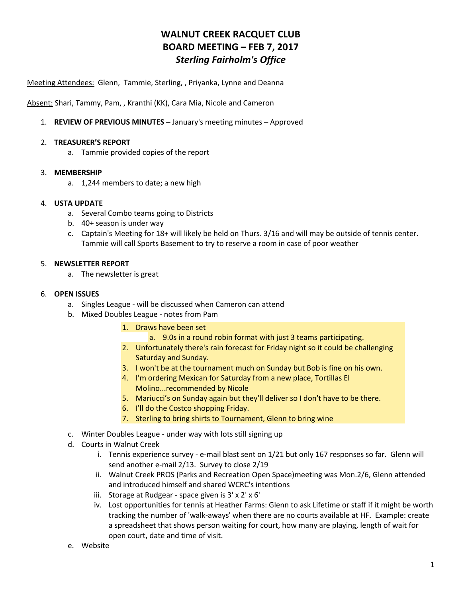# **WALNUT CREEK RACQUET CLUB BOARD MEETING – FEB 7, 2017** *Sterling Fairholm's Office*

Meeting Attendees: Glenn, Tammie, Sterling, , Priyanka, Lynne and Deanna

Absent: Shari, Tammy, Pam, , Kranthi (KK), Cara Mia, Nicole and Cameron

1. **REVIEW OF PREVIOUS MINUTES –** January's meeting minutes – Approved

### 2. **TREASURER'S REPORT**

a. Tammie provided copies of the report

### 3. **MEMBERSHIP**

a. 1,244 members to date; a new high

### 4. **USTA UPDATE**

- a. Several Combo teams going to Districts
- b. 40+ season is under way
- c. Captain's Meeting for 18+ will likely be held on Thurs. 3/16 and will may be outside of tennis center. Tammie will call Sports Basement to try to reserve a room in case of poor weather

### 5. **NEWSLETTER REPORT**

a. The newsletter is great

### 6. **OPEN ISSUES**

- a. Singles League will be discussed when Cameron can attend
- b. Mixed Doubles League notes from Pam
	- 1. Draws have been set
		- a. 9.0s in a round robin format with just 3 teams participating.
	- 2. Unfortunately there's rain forecast for Friday night so it could be challenging Saturday and Sunday.
	- 3. I won't be at the tournament much on Sunday but Bob is fine on his own.
	- 4. I'm ordering Mexican for Saturday from a new place, Tortillas El Molino...recommended by Nicole
	- 5. Mariucci's on Sunday again but they'll deliver so I don't have to be there.
	- 6. I'll do the Costco shopping Friday.
	- 7. Sterling to bring shirts to Tournament, Glenn to bring wine
- c. Winter Doubles League under way with lots still signing up
- d. Courts in Walnut Creek
	- i. Tennis experience survey e-mail blast sent on 1/21 but only 167 responses so far. Glenn will send another e-mail 2/13. Survey to close 2/19
	- ii. Walnut Creek PROS (Parks and Recreation Open Space)meeting was Mon.2/6, Glenn attended and introduced himself and shared WCRC's intentions
	- iii. Storage at Rudgear space given is 3' x 2' x 6'
	- iv. Lost opportunities for tennis at Heather Farms: Glenn to ask Lifetime or staff if it might be worth tracking the number of 'walk-aways' when there are no courts available at HF. Example: create a spreadsheet that shows person waiting for court, how many are playing, length of wait for open court, date and time of visit.
- e. Website